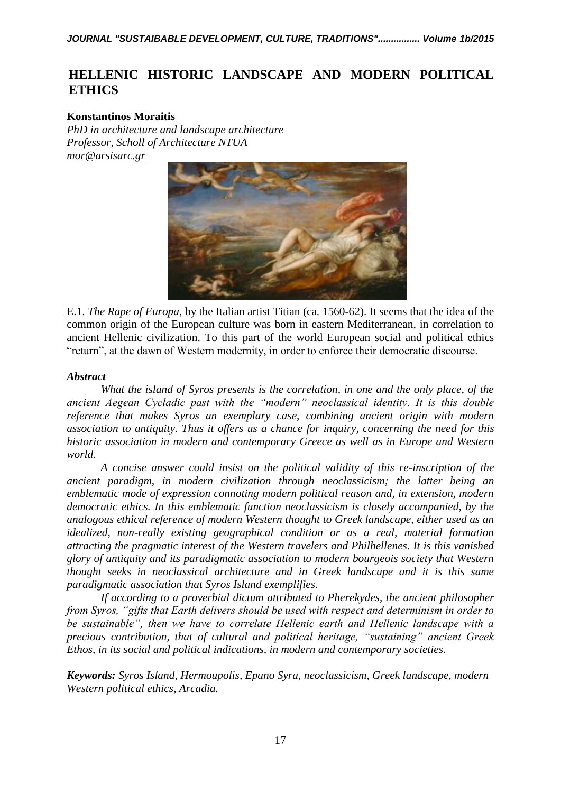# **HELLENIC HISTORIC LANDSCAPE AND MODERN POLITICAL ETHICS**

# **Konstantinos Moraitis**

*PhD in architecture and landscape architecture Professor, Scholl of Architecture NTUA [mor@arsisarc.gr](mailto:mor@arsisarc.gr)*



E.1. *The Rape of Europa*, by the Italian artist [Titian](https://en.wikipedia.org/wiki/Titian) (ca. 1560-62). It seems that the idea of the common origin of the European culture was born in eastern Mediterranean, in correlation to ancient Hellenic civilization. To this part of the world European social and political ethics "return", at the dawn of Western modernity, in order to enforce their democratic discourse.

# *Abstract*

*What the island of Syros presents is the correlation, in one and the only place, of the ancient Aegean Cycladic past with the "modern" neoclassical identity. It is this double reference that makes Syros an exemplary case, combining ancient origin with modern association to antiquity. Thus it offers us a chance for inquiry, concerning the need for this historic association in modern and contemporary Greece as well as in Europe and Western world.*

*A concise answer could insist on the political validity of this re-inscription of the ancient paradigm, in modern civilization through neoclassicism; the latter being an emblematic mode of expression connoting modern political reason and, in extension, modern democratic ethics. In this emblematic function neoclassicism is closely accompanied, by the analogous ethical reference of modern Western thought to Greek landscape, either used as an idealized, non-really existing geographical condition or as a real, material formation attracting the pragmatic interest of the Western travelers and Philhellenes. It is this vanished glory of antiquity and its paradigmatic association to modern bourgeois society that Western thought seeks in neoclassical architecture and in Greek landscape and it is this same paradigmatic association that Syros Island exemplifies.*

*If according to a proverbial dictum attributed to Pherekydes, the ancient philosopher from Syros, "gifts that Earth delivers should be used with respect and determinism in order to be sustainable", then we have to correlate Hellenic earth and Hellenic landscape with a precious contribution, that of cultural and political heritage, "sustaining" ancient Greek Ethos, in its social and political indications, in modern and contemporary societies.*

*Keywords: Syros Island, Hermoupolis, Epano Syra, neoclassicism, Greek landscape, modern Western political ethics, Arcadia.*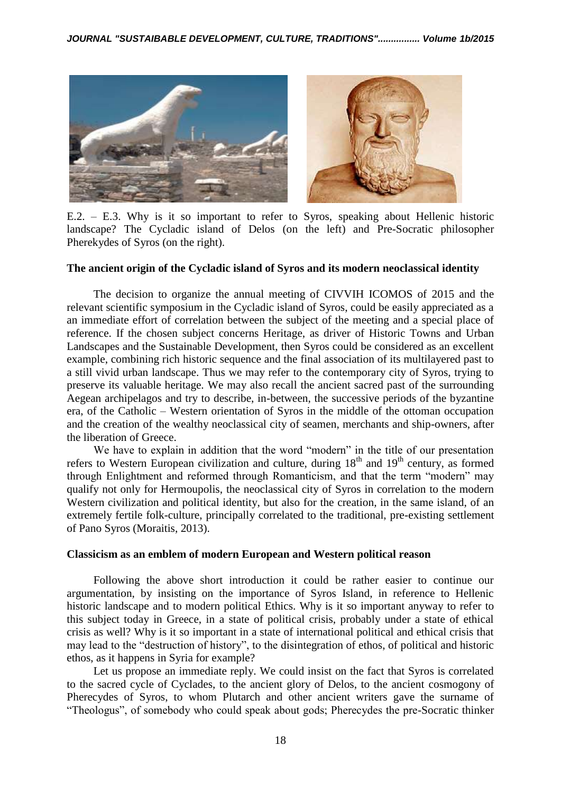

E.2. – E.3. Why is it so important to refer to Syros, speaking about Hellenic historic landscape? The Cycladic island of Delos (on the left) and Pre-Socratic philosopher Pherekydes of Syros (on the right).

#### **The ancient origin of the Cycladic island of Syros and its modern neoclassical identity**

The decision to organize the annual meeting of CIVVIH ICOMOS of 2015 and the relevant scientific symposium in the Cycladic island of Syros, could be easily appreciated as a an immediate effort of correlation between the subject of the meeting and a special place of reference. If the chosen subject concerns Heritage, as driver of Historic Towns and Urban Landscapes and the Sustainable Development, then Syros could be considered as an excellent example, combining rich historic sequence and the final association of its multilayered past to a still vivid urban landscape. Thus we may refer to the contemporary city of Syros, trying to preserve its valuable heritage. We may also recall the ancient sacred past of the surrounding Aegean archipelagos and try to describe, in-between, the successive periods of the byzantine era, of the Catholic – Western orientation of Syros in the middle of the ottoman occupation and the creation of the wealthy neoclassical city of seamen, merchants and ship-owners, after the liberation of Greece.

We have to explain in addition that the word "modern" in the title of our presentation refers to Western European civilization and culture, during  $18<sup>th</sup>$  and  $19<sup>th</sup>$  century, as formed through Enlightment and reformed through Romanticism, and that the term "modern" may qualify not only for Hermoupolis, the neoclassical city of Syros in correlation to the modern Western civilization and political identity, but also for the creation, in the same island, of an extremely fertile folk-culture, principally correlated to the traditional, pre-existing settlement of Pano Syros (Moraitis, 2013).

#### **Classicism as an emblem of modern European and Western political reason**

Following the above short introduction it could be rather easier to continue our argumentation, by insisting on the importance of Syros Island, in reference to Hellenic historic landscape and to modern political Ethics. Why is it so important anyway to refer to this subject today in Greece, in a state of political crisis, probably under a state of ethical crisis as well? Why is it so important in a state of international political and ethical crisis that may lead to the "destruction of history", to the disintegration of ethos, of political and historic ethos, as it happens in Syria for example?

Let us propose an immediate reply. We could insist on the fact that Syros is correlated to the sacred cycle of Cyclades, to the ancient glory of Delos, to the ancient cosmogony of Pherecydes of Syros, to whom Plutarch and other ancient writers gave the surname of "Theologus", of somebody who could speak about gods; Pherecydes the pre-Socratic thinker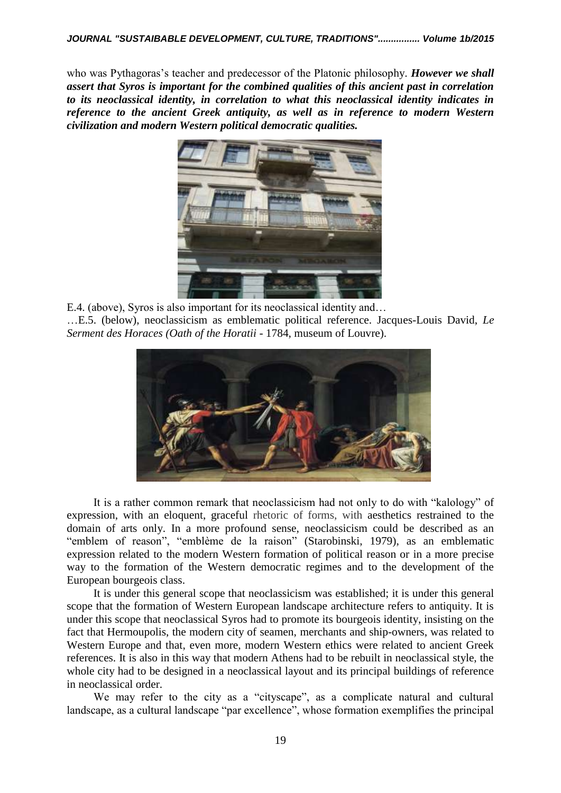who was Pythagoras's teacher and predecessor of the Platonic philosophy. *However we shall assert that Syros is important for the combined qualities of this ancient past in correlation to its neoclassical identity, in correlation to what this neoclassical identity indicates in reference to the ancient Greek antiquity, as well as in reference to modern Western civilization and modern Western political democratic qualities.*



E.4. (above), Syros is also important for its neoclassical identity and…

…E.5. (below), neoclassicism as emblematic political reference. Jacques-Louis David, *Le Serment des Horaces (Oath of the Horatii -* 1784, museum of Louvre).



It is a rather common remark that neoclassicism had not only to do with "kalology" of expression, with an eloquent, graceful rhetoric of forms, with aesthetics restrained to the domain of arts only. In a more profound sense, neoclassicism could be described as an "emblem of reason", "emblème de la raison" (Starobinski, 1979), as an emblematic expression related to the modern Western formation of political reason or in a more precise way to the formation of the Western democratic regimes and to the development of the European bourgeois class.

It is under this general scope that neoclassicism was established; it is under this general scope that the formation of Western European landscape architecture refers to antiquity. It is under this scope that neoclassical Syros had to promote its bourgeois identity, insisting on the fact that Hermoupolis, the modern city of seamen, merchants and ship-owners, was related to Western Europe and that, even more, modern Western ethics were related to ancient Greek references. It is also in this way that modern Athens had to be rebuilt in neoclassical style, the whole city had to be designed in a neoclassical layout and its principal buildings of reference in neoclassical order.

We may refer to the city as a "cityscape", as a complicate natural and cultural landscape, as a cultural landscape "par excellence", whose formation exemplifies the principal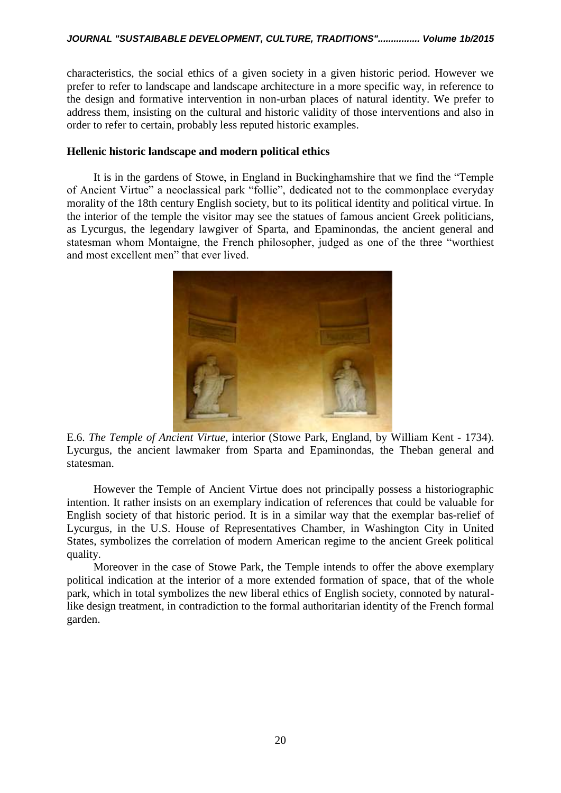characteristics, the social ethics of a given society in a given historic period. However we prefer to refer to landscape and landscape architecture in a more specific way, in reference to the design and formative intervention in non-urban places of natural identity. We prefer to address them, insisting on the cultural and historic validity of those interventions and also in order to refer to certain, probably less reputed historic examples.

## **Hellenic historic landscape and modern political ethics**

It is in the gardens of Stowe, in England in Buckinghamshire that we find the "Temple of Ancient Virtue" a neoclassical park "follie", dedicated not to the commonplace everyday morality of the 18th century English society, but to its political identity and political virtue. In the interior of the temple the visitor may see the statues of famous ancient Greek politicians, as Lycurgus, the legendary lawgiver of Sparta, and Epaminondas, the ancient general and statesman whom Montaigne, the French philosopher, judged as one of the three "worthiest and most excellent men" that ever lived.



E.6. *The Temple of Ancient Virtue*, interior (Stowe Park, England, by William Kent - 1734). Lycurgus, the ancient lawmaker from Sparta and Epaminondas, the Theban general and statesman.

However the Temple of Ancient Virtue does not principally possess a historiographic intention. It rather insists on an exemplary indication of references that could be valuable for English society of that historic period. It is in a similar way that the exemplar bas-relief of Lycurgus, in the U.S. House of Representatives Chamber, in Washington City in United States, symbolizes the correlation of modern American regime to the ancient Greek political quality.

Moreover in the case of Stowe Park, the Temple intends to offer the above exemplary political indication at the interior of a more extended formation of space, that of the whole park, which in total symbolizes the new liberal ethics of English society, connoted by naturallike design treatment, in contradiction to the formal authoritarian identity of the French formal garden.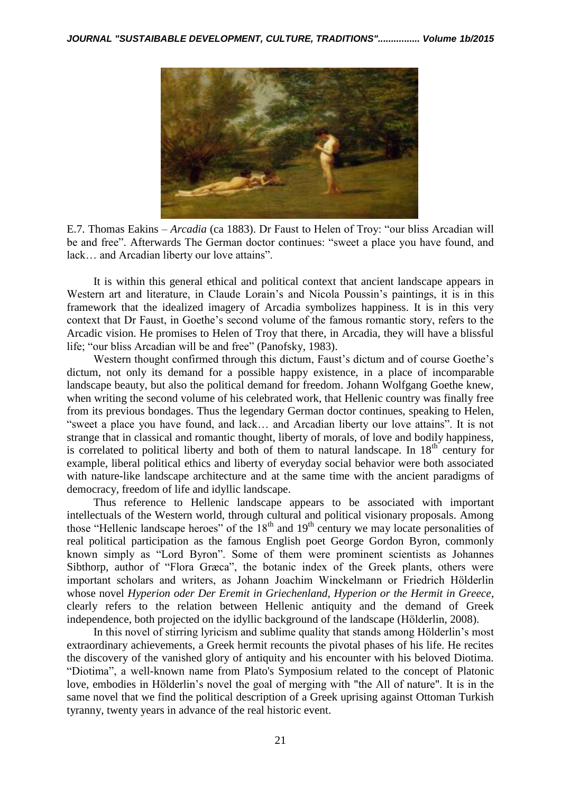

E.7. Thomas Eakins – *Arcadia* (ca 1883). Dr Faust to Helen of Troy: "our bliss Arcadian will be and free". Afterwards The German doctor continues: "sweet a place you have found, and lack… and Arcadian liberty our love attains".

It is within this general ethical and political context that ancient landscape appears in Western art and literature, in Claude Lorain's and Nicola Poussin's paintings, it is in this framework that the idealized imagery of Arcadia symbolizes happiness. It is in this very context that Dr Faust, in Goethe's second volume of the famous romantic story, refers to the Arcadic vision. He promises to Helen of Troy that there, in Arcadia, they will have a blissful life; "our bliss Arcadian will be and free" (Panofsky, 1983).

Western thought confirmed through this dictum, Faust's dictum and of course Goethe's dictum, not only its demand for a possible happy existence, in a place of incomparable landscape beauty, but also the political demand for freedom. Johann Wolfgang Goethe knew, when writing the second volume of his celebrated work, that Hellenic country was finally free from its previous bondages. Thus the legendary German doctor continues, speaking to Helen, "sweet a place you have found, and lack… and Arcadian liberty our love attains". It is not strange that in classical and romantic thought, liberty of morals, of love and bodily happiness, is correlated to political liberty and both of them to natural landscape. In  $18<sup>th</sup>$  century for example, liberal political ethics and liberty of everyday social behavior were both associated with nature-like landscape architecture and at the same time with the ancient paradigms of democracy, freedom of life and idyllic landscape.

Thus reference to Hellenic landscape appears to be associated with important intellectuals of the Western world, through cultural and political visionary proposals. Among those "Hellenic landscape heroes" of the  $18<sup>th</sup>$  and  $19<sup>th</sup>$  century we may locate personalities of real political participation as the famous English poet George Gordon Byron, commonly known simply as "Lord Byron". Some of them were prominent scientists as Johannes Sibthorp, author of "Flora Græca", the botanic index of the Greek plants, others were important scholars and writers, as Johann Joachim Winckelmann or Friedrich Hölderlin whose novel *Hyperion oder Der Eremit in Griechenland, Hyperion or the Hermit in Greece*, clearly refers to the relation between Hellenic antiquity and the demand of Greek independence, both projected on the idyllic background of the landscape (Hölderlin, 2008).

In this novel of stirring lyricism and sublime quality that stands among Hölderlin's most extraordinary achievements, a Greek hermit recounts the pivotal phases of his life. He recites the discovery of the vanished glory of antiquity and his encounter with his beloved Diotima. "Diotima", a well-known name from [Plato'](https://en.wikipedia.org/wiki/Plato)s [Symposium](https://en.wikipedia.org/wiki/Plato%27s_Symposium) related to the concept of [Platonic](https://en.wikipedia.org/wiki/Platonic_love)  [love,](https://en.wikipedia.org/wiki/Platonic_love) embodies in Hölderlin's novel the goal of merging with "the All of nature". It is in the same novel that we find the political description of a Greek uprising against Ottoman Turkish tyranny, twenty years in advance of the real historic event.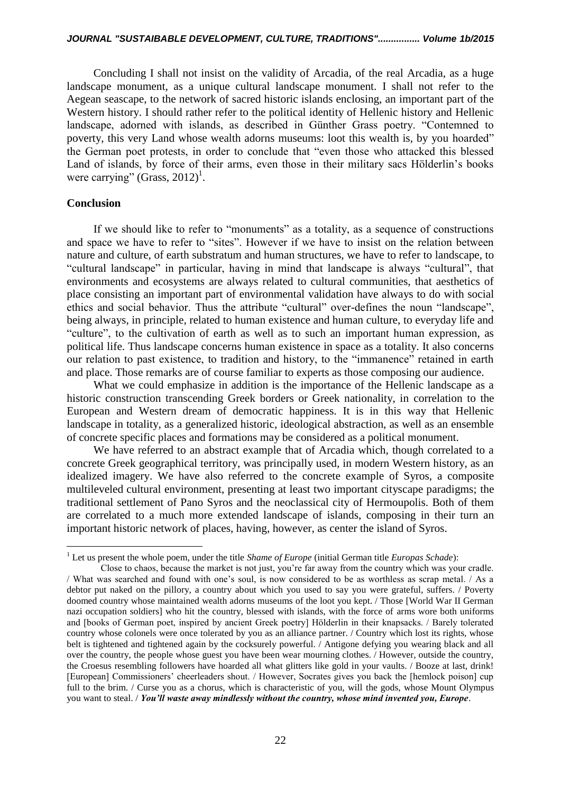Concluding I shall not insist on the validity of Arcadia, of the real Arcadia, as a huge landscape monument, as a unique cultural landscape monument. I shall not refer to the Aegean seascape, to the network of sacred historic islands enclosing, an important part of the Western history. I should rather refer to the political identity of Hellenic history and Hellenic landscape, adorned with islands, as described in Günther Grass poetry. "Contemned to poverty, this very Land whose wealth adorns museums: loot this wealth is, by you hoarded" the German poet protests, in order to conclude that "even those who attacked this blessed Land of islands, by force of their arms, even those in their military sacs Hölderlin's books were carrying" (Grass, 2012)<sup>1</sup>.

### **Conclusion**

 $\overline{a}$ 

If we should like to refer to "monuments" as a totality, as a sequence of constructions and space we have to refer to "sites". However if we have to insist on the relation between nature and culture, of earth substratum and human structures, we have to refer to landscape, to "cultural landscape" in particular, having in mind that landscape is always "cultural", that environments and ecosystems are always related to cultural communities, that aesthetics of place consisting an important part of environmental validation have always to do with social ethics and social behavior. Thus the attribute "cultural" over-defines the noun "landscape", being always, in principle, related to human existence and human culture, to everyday life and "culture", to the cultivation of earth as well as to such an important human expression, as political life. Thus landscape concerns human existence in space as a totality. It also concerns our relation to past existence, to tradition and history, to the "immanence" retained in earth and place. Those remarks are of course familiar to experts as those composing our audience.

What we could emphasize in addition is the importance of the Hellenic landscape as a historic construction transcending Greek borders or Greek nationality, in correlation to the European and Western dream of democratic happiness. It is in this way that Hellenic landscape in totality, as a generalized historic, ideological abstraction, as well as an ensemble of concrete specific places and formations may be considered as a political monument.

We have referred to an abstract example that of Arcadia which, though correlated to a concrete Greek geographical territory, was principally used, in modern Western history, as an idealized imagery. We have also referred to the concrete example of Syros, a composite multileveled cultural environment, presenting at least two important cityscape paradigms; the traditional settlement of Pano Syros and the neoclassical city of Hermoupolis. Both of them are correlated to a much more extended landscape of islands, composing in their turn an important historic network of places, having, however, as center the island of Syros.

<sup>1</sup> Let us present the whole poem, under the title *Shame of Europe* (initial German title *Europas Schade*):

Close to chaos, because the market is not just, you're far away from the country which was your cradle. / What was searched and found with one's soul, is now considered to be as worthless as scrap metal. / As a debtor put naked on the pillory, a country about which you used to say you were grateful, suffers. / Poverty doomed country whose maintained wealth adorns museums of the loot you kept. / Those [World War II German nazi occupation soldiers] who hit the country, blessed with islands, with the force of arms wore both uniforms and [books of German poet, inspired by ancient Greek poetry] Hölderlin in their knapsacks. / Barely tolerated country whose colonels were once tolerated by you as an alliance partner. / Country which lost its rights, whose belt is tightened and tightened again by the cocksurely powerful. / Antigone defying you wearing black and all over the country, the people whose guest you have been wear mourning clothes. / However, outside the country, the Croesus resembling followers have hoarded all what glitters like gold in your vaults. / Booze at last, drink! [European] Commissioners' cheerleaders shout. / However, Socrates gives you back the [hemlock poison] cup full to the brim. / Curse you as a chorus, which is characteristic of you, will the gods, whose Mount Olympus you want to steal. / *You'll waste away mindlessly without the country, whose mind invented you, Europe*.